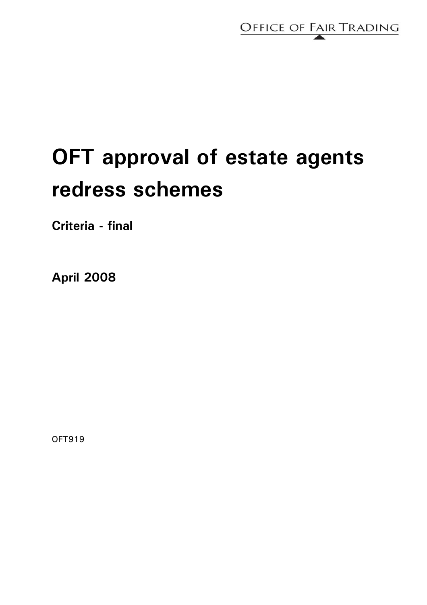

# **OFT approval of estate agents redress schemes**

**Criteria - final** 

**April 2008** 

OFT919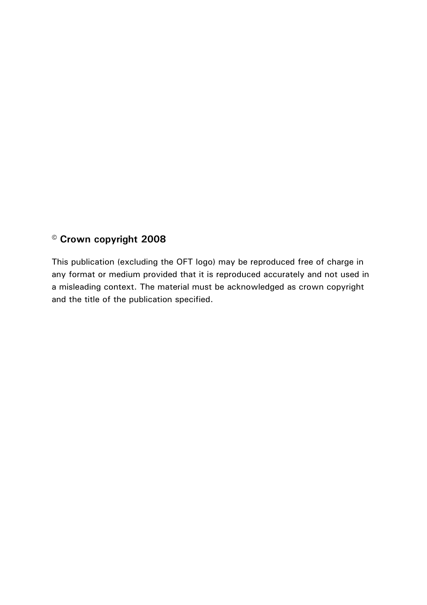## **© Crown copyright 2008**

This publication (excluding the OFT logo) may be reproduced free of charge in any format or medium provided that it is reproduced accurately and not used in a misleading context. The material must be acknowledged as crown copyright and the title of the publication specified.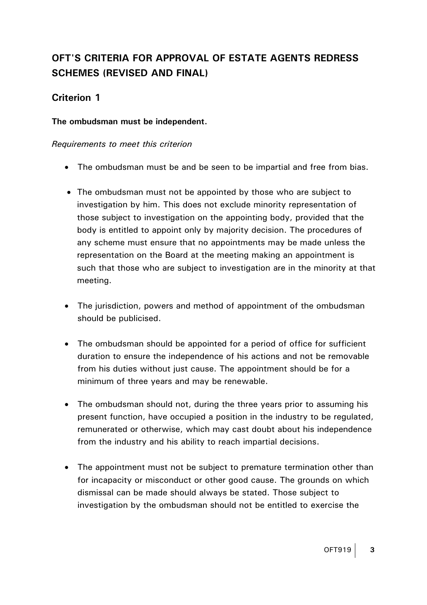## **OFT'S CRITERIA FOR APPROVAL OF ESTATE AGENTS REDRESS SCHEMES (REVISED AND FINAL)**

## **Criterion 1**

#### **The ombudsman must be independent.**

- The ombudsman must be and be seen to be impartial and free from bias.
- The ombudsman must not be appointed by those who are subject to investigation by him. This does not exclude minority representation of those subject to investigation on the appointing body, provided that the body is entitled to appoint only by majority decision. The procedures of any scheme must ensure that no appointments may be made unless the representation on the Board at the meeting making an appointment is such that those who are subject to investigation are in the minority at that meeting.
- The jurisdiction, powers and method of appointment of the ombudsman should be publicised.
- The ombudsman should be appointed for a period of office for sufficient duration to ensure the independence of his actions and not be removable from his duties without just cause. The appointment should be for a minimum of three years and may be renewable.
- The ombudsman should not, during the three years prior to assuming his present function, have occupied a position in the industry to be regulated, remunerated or otherwise, which may cast doubt about his independence from the industry and his ability to reach impartial decisions.
- The appointment must not be subject to premature termination other than for incapacity or misconduct or other good cause. The grounds on which dismissal can be made should always be stated. Those subject to investigation by the ombudsman should not be entitled to exercise the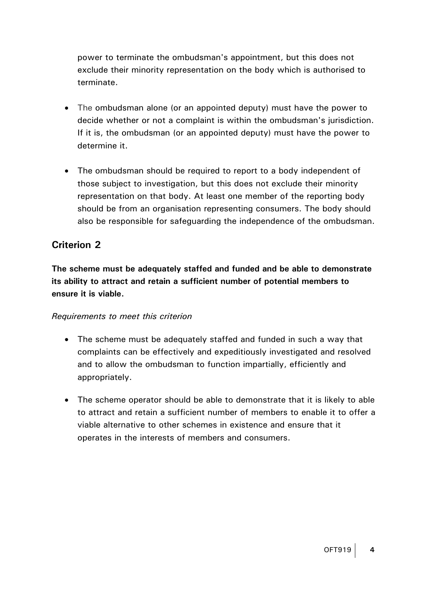power to terminate the ombudsman's appointment, but this does not exclude their minority representation on the body which is authorised to terminate.

- The ombudsman alone (or an appointed deputy) must have the power to decide whether or not a complaint is within the ombudsman's jurisdiction. If it is, the ombudsman (or an appointed deputy) must have the power to determine it.
- The ombudsman should be required to report to a body independent of those subject to investigation, but this does not exclude their minority representation on that body. At least one member of the reporting body should be from an organisation representing consumers. The body should also be responsible for safeguarding the independence of the ombudsman.

## **Criterion 2**

**The scheme must be adequately staffed and funded and be able to demonstrate its ability to attract and retain a sufficient number of potential members to ensure it is viable.** 

- The scheme must be adequately staffed and funded in such a way that complaints can be effectively and expeditiously investigated and resolved and to allow the ombudsman to function impartially, efficiently and appropriately.
- The scheme operator should be able to demonstrate that it is likely to able to attract and retain a sufficient number of members to enable it to offer a viable alternative to other schemes in existence and ensure that it operates in the interests of members and consumers.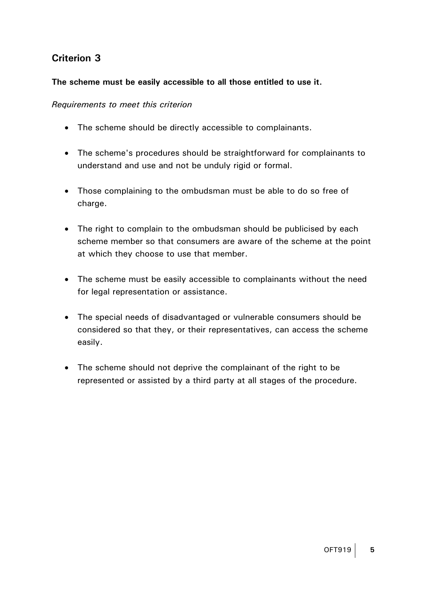#### **The scheme must be easily accessible to all those entitled to use it.**

- The scheme should be directly accessible to complainants.
- The scheme's procedures should be straightforward for complainants to understand and use and not be unduly rigid or formal.
- Those complaining to the ombudsman must be able to do so free of charge.
- The right to complain to the ombudsman should be publicised by each scheme member so that consumers are aware of the scheme at the point at which they choose to use that member.
- The scheme must be easily accessible to complainants without the need for legal representation or assistance.
- The special needs of disadvantaged or vulnerable consumers should be considered so that they, or their representatives, can access the scheme easily.
- The scheme should not deprive the complainant of the right to be represented or assisted by a third party at all stages of the procedure.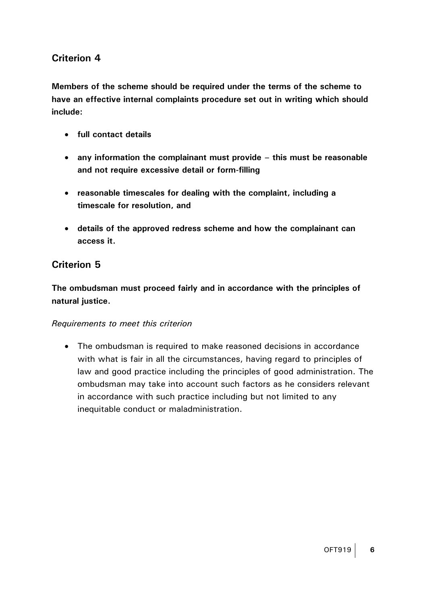**Members of the scheme should be required under the terms of the scheme to have an effective internal complaints procedure set out in writing which should include:** 

- **full contact details**
- **any information the complainant must provide this must be reasonable and not require excessive detail or form-filling**
- **reasonable timescales for dealing with the complaint, including a timescale for resolution, and**
- **details of the approved redress scheme and how the complainant can access it.**

## **Criterion 5**

**The ombudsman must proceed fairly and in accordance with the principles of natural justice.** 

#### *Requirements to meet this criterion*

• The ombudsman is required to make reasoned decisions in accordance with what is fair in all the circumstances, having regard to principles of law and good practice including the principles of good administration. The ombudsman may take into account such factors as he considers relevant in accordance with such practice including but not limited to any inequitable conduct or maladministration.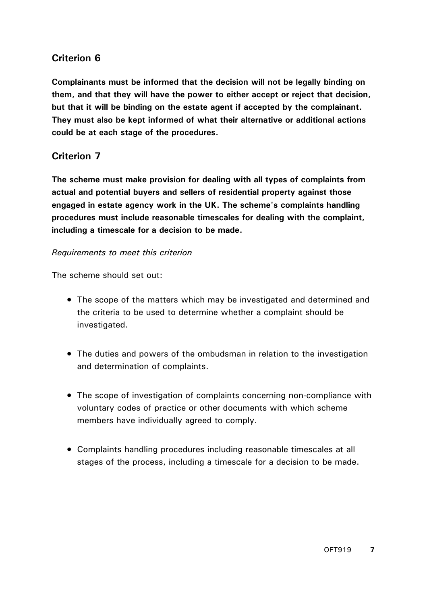**Complainants must be informed that the decision will not be legally binding on them, and that they will have the power to either accept or reject that decision, but that it will be binding on the estate agent if accepted by the complainant. They must also be kept informed of what their alternative or additional actions could be at each stage of the procedures.** 

## **Criterion 7**

**The scheme must make provision for dealing with all types of complaints from actual and potential buyers and sellers of residential property against those engaged in estate agency work in the UK. The scheme's complaints handling procedures must include reasonable timescales for dealing with the complaint, including a timescale for a decision to be made.** 

#### *Requirements to meet this criterion*

The scheme should set out:

- The scope of the matters which may be investigated and determined and the criteria to be used to determine whether a complaint should be investigated.
- The duties and powers of the ombudsman in relation to the investigation and determination of complaints.
- The scope of investigation of complaints concerning non-compliance with voluntary codes of practice or other documents with which scheme members have individually agreed to comply.
- Complaints handling procedures including reasonable timescales at all stages of the process, including a timescale for a decision to be made.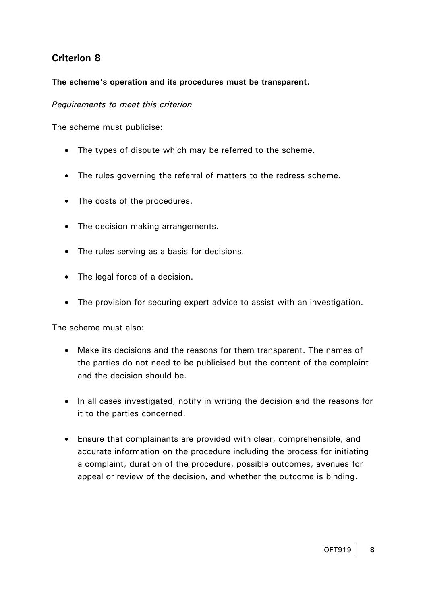#### **The scheme's operation and its procedures must be transparent.**

#### *Requirements to meet this criterion*

The scheme must publicise:

- The types of dispute which may be referred to the scheme.
- The rules governing the referral of matters to the redress scheme.
- The costs of the procedures.
- The decision making arrangements.
- The rules serving as a basis for decisions.
- The legal force of a decision.
- The provision for securing expert advice to assist with an investigation.

The scheme must also:

- Make its decisions and the reasons for them transparent. The names of the parties do not need to be publicised but the content of the complaint and the decision should be.
- In all cases investigated, notify in writing the decision and the reasons for it to the parties concerned.
- Ensure that complainants are provided with clear, comprehensible, and accurate information on the procedure including the process for initiating a complaint, duration of the procedure, possible outcomes, avenues for appeal or review of the decision, and whether the outcome is binding.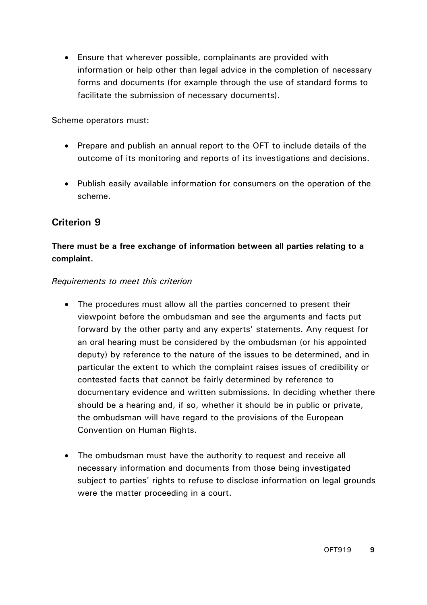• Ensure that wherever possible, complainants are provided with information or help other than legal advice in the completion of necessary forms and documents (for example through the use of standard forms to facilitate the submission of necessary documents).

Scheme operators must:

- Prepare and publish an annual report to the OFT to include details of the outcome of its monitoring and reports of its investigations and decisions.
- Publish easily available information for consumers on the operation of the scheme.

## **Criterion 9**

## **There must be a free exchange of information between all parties relating to a complaint.**

- The procedures must allow all the parties concerned to present their viewpoint before the ombudsman and see the arguments and facts put forward by the other party and any experts' statements. Any request for an oral hearing must be considered by the ombudsman (or his appointed deputy) by reference to the nature of the issues to be determined, and in particular the extent to which the complaint raises issues of credibility or contested facts that cannot be fairly determined by reference to documentary evidence and written submissions. In deciding whether there should be a hearing and, if so, whether it should be in public or private, the ombudsman will have regard to the provisions of the European Convention on Human Rights.
- The ombudsman must have the authority to request and receive all necessary information and documents from those being investigated subject to parties' rights to refuse to disclose information on legal grounds were the matter proceeding in a court.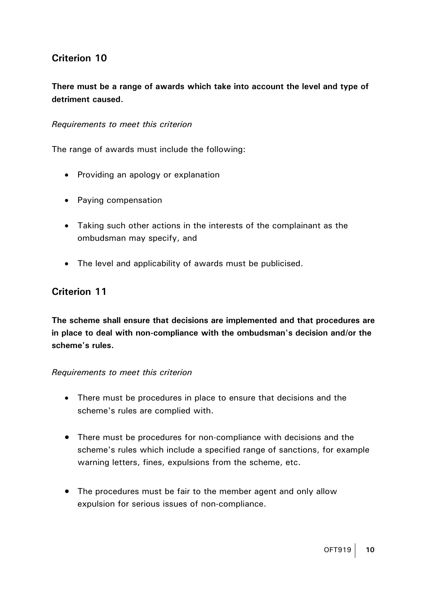## **There must be a range of awards which take into account the level and type of detriment caused.**

#### *Requirements to meet this criterion*

The range of awards must include the following:

- Providing an apology or explanation
- Paying compensation
- Taking such other actions in the interests of the complainant as the ombudsman may specify, and
- The level and applicability of awards must be publicised.

### **Criterion 11**

**The scheme shall ensure that decisions are implemented and that procedures are in place to deal with non-compliance with the ombudsman's decision and/or the scheme's rules.** 

- There must be procedures in place to ensure that decisions and the scheme's rules are complied with.
- There must be procedures for non-compliance with decisions and the scheme's rules which include a specified range of sanctions, for example warning letters, fines, expulsions from the scheme, etc.
- The procedures must be fair to the member agent and only allow expulsion for serious issues of non-compliance.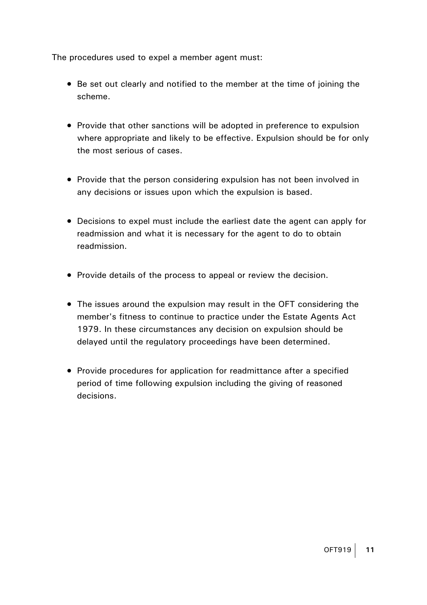The procedures used to expel a member agent must:

- Be set out clearly and notified to the member at the time of joining the scheme.
- Provide that other sanctions will be adopted in preference to expulsion where appropriate and likely to be effective. Expulsion should be for only the most serious of cases.
- Provide that the person considering expulsion has not been involved in any decisions or issues upon which the expulsion is based.
- Decisions to expel must include the earliest date the agent can apply for readmission and what it is necessary for the agent to do to obtain readmission.
- Provide details of the process to appeal or review the decision.
- The issues around the expulsion may result in the OFT considering the member's fitness to continue to practice under the Estate Agents Act 1979. In these circumstances any decision on expulsion should be delayed until the regulatory proceedings have been determined.
- Provide procedures for application for readmittance after a specified period of time following expulsion including the giving of reasoned decisions.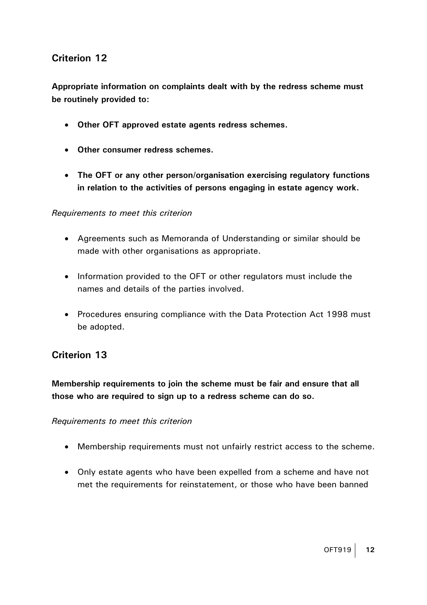**Appropriate information on complaints dealt with by the redress scheme must be routinely provided to:** 

- **Other OFT approved estate agents redress schemes.**
- **Other consumer redress schemes.**
- **The OFT or any other person/organisation exercising regulatory functions in relation to the activities of persons engaging in estate agency work.**

#### *Requirements to meet this criterion*

- Agreements such as Memoranda of Understanding or similar should be made with other organisations as appropriate.
- Information provided to the OFT or other regulators must include the names and details of the parties involved.
- Procedures ensuring compliance with the Data Protection Act 1998 must be adopted.

## **Criterion 13**

**Membership requirements to join the scheme must be fair and ensure that all those who are required to sign up to a redress scheme can do so.** 

- Membership requirements must not unfairly restrict access to the scheme.
- Only estate agents who have been expelled from a scheme and have not met the requirements for reinstatement, or those who have been banned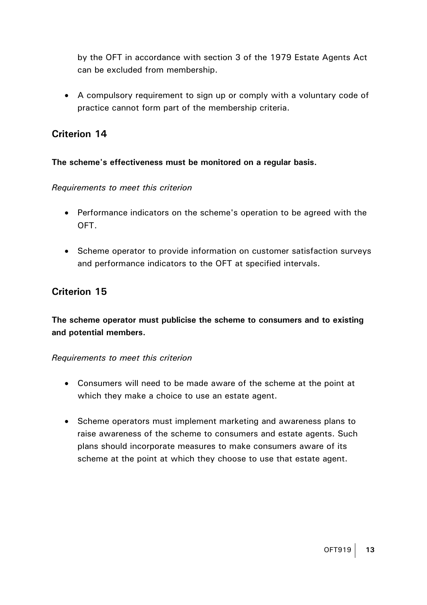by the OFT in accordance with section 3 of the 1979 Estate Agents Act can be excluded from membership.

• A compulsory requirement to sign up or comply with a voluntary code of practice cannot form part of the membership criteria.

## **Criterion 14**

#### **The scheme's effectiveness must be monitored on a regular basis.**

#### *Requirements to meet this criterion*

- Performance indicators on the scheme's operation to be agreed with the OFT.
- Scheme operator to provide information on customer satisfaction surveys and performance indicators to the OFT at specified intervals.

## **Criterion 15**

**The scheme operator must publicise the scheme to consumers and to existing and potential members.** 

- Consumers will need to be made aware of the scheme at the point at which they make a choice to use an estate agent.
- Scheme operators must implement marketing and awareness plans to raise awareness of the scheme to consumers and estate agents. Such plans should incorporate measures to make consumers aware of its scheme at the point at which they choose to use that estate agent.